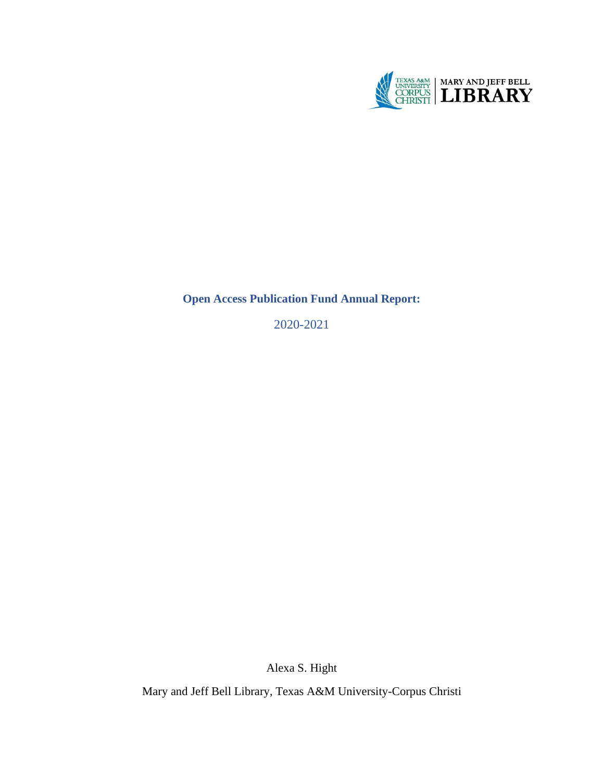

## **Open Access Publication Fund Annual Report:**

2020-2021

Alexa S. Hight

Mary and Jeff Bell Library, Texas A&M University-Corpus Christi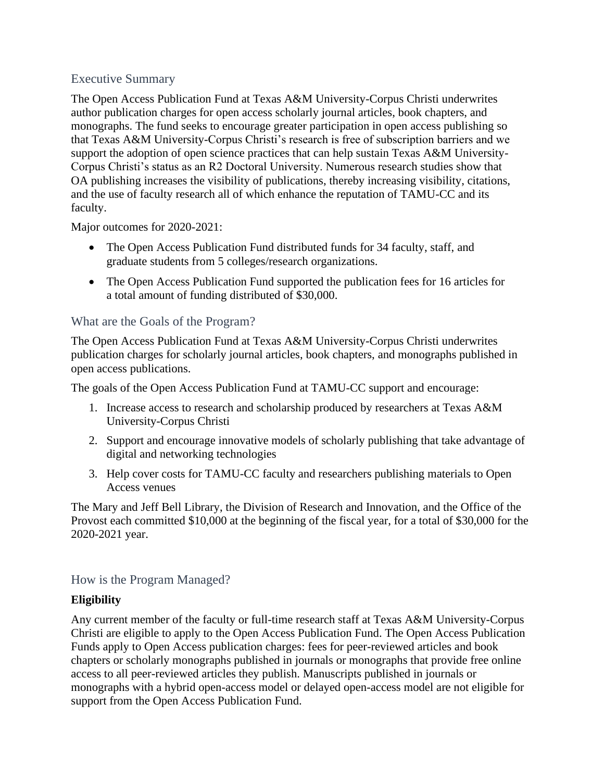### Executive Summary

The Open Access Publication Fund at Texas A&M University-Corpus Christi underwrites author publication charges for open access scholarly journal articles, book chapters, and monographs. The fund seeks to encourage greater participation in open access publishing so that Texas A&M University-Corpus Christi's research is free of subscription barriers and we support the adoption of open science practices that can help sustain Texas A&M University-Corpus Christi's status as an R2 Doctoral University. Numerous research studies show that OA publishing increases the visibility of publications, thereby increasing visibility, citations, and the use of faculty research all of which enhance the reputation of TAMU-CC and its faculty.

Major outcomes for 2020-2021:

- The Open Access Publication Fund distributed funds for 34 faculty, staff, and graduate students from 5 colleges/research organizations.
- The Open Access Publication Fund supported the publication fees for 16 articles for a total amount of funding distributed of \$30,000.

### What are the Goals of the Program?

The Open Access Publication Fund at Texas A&M University-Corpus Christi underwrites publication charges for scholarly journal articles, book chapters, and monographs published in open access publications.

The goals of the Open Access Publication Fund at TAMU-CC support and encourage:

- 1. Increase access to research and scholarship produced by researchers at Texas A&M University-Corpus Christi
- 2. Support and encourage innovative models of scholarly publishing that take advantage of digital and networking technologies
- 3. Help cover costs for TAMU-CC faculty and researchers publishing materials to Open Access venues

The Mary and Jeff Bell Library, the Division of Research and Innovation, and the Office of the Provost each committed \$10,000 at the beginning of the fiscal year, for a total of \$30,000 for the 2020-2021 year.

# How is the Program Managed?

# **Eligibility**

Any current member of the faculty or full-time research staff at Texas A&M University-Corpus Christi are eligible to apply to the Open Access Publication Fund. The Open Access Publication Funds apply to Open Access publication charges: fees for peer-reviewed articles and book chapters or scholarly monographs published in journals or monographs that provide free online access to all peer-reviewed articles they publish. Manuscripts published in journals or monographs with a hybrid open-access model or delayed open-access model are not eligible for support from the Open Access Publication Fund.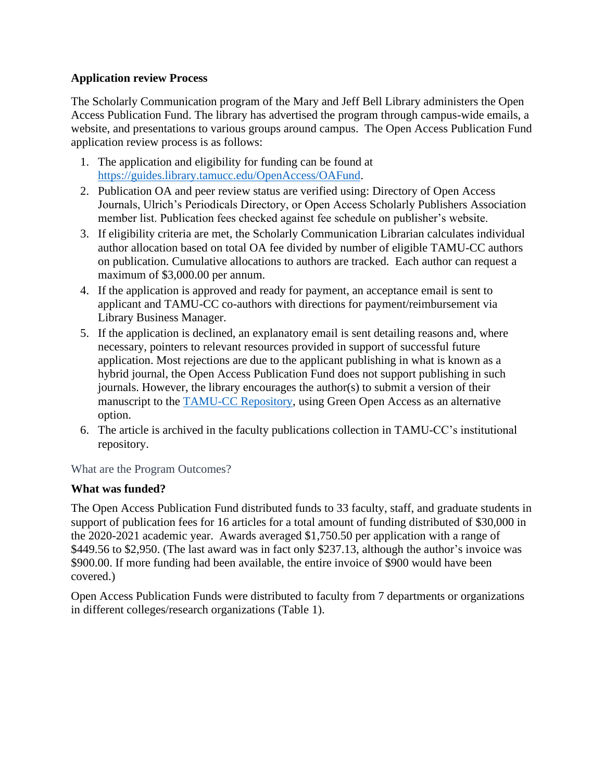### **Application review Process**

The Scholarly Communication program of the Mary and Jeff Bell Library administers the Open Access Publication Fund. The library has advertised the program through campus-wide emails, a website, and presentations to various groups around campus. The Open Access Publication Fund application review process is as follows:

- 1. The application and eligibility for funding can be found at [https://guides.library.tamucc.edu/OpenAccess/OAFund.](https://guides.library.tamucc.edu/OpenAccess/OAFund)
- 2. Publication OA and peer review status are verified using: Directory of Open Access Journals, Ulrich's Periodicals Directory, or Open Access Scholarly Publishers Association member list. Publication fees checked against fee schedule on publisher's website.
- 3. If eligibility criteria are met, the Scholarly Communication Librarian calculates individual author allocation based on total OA fee divided by number of eligible TAMU-CC authors on publication. Cumulative allocations to authors are tracked. Each author can request a maximum of \$3,000.00 per annum.
- 4. If the application is approved and ready for payment, an acceptance email is sent to applicant and TAMU-CC co-authors with directions for payment/reimbursement via Library Business Manager.
- 5. If the application is declined, an explanatory email is sent detailing reasons and, where necessary, pointers to relevant resources provided in support of successful future application. Most rejections are due to the applicant publishing in what is known as a hybrid journal, the Open Access Publication Fund does not support publishing in such journals. However, the library encourages the author(s) to submit a version of their manuscript to the [TAMU-CC Repository,](https://tamucc-ir.tdl.org/) using Green Open Access as an alternative option.
- 6. The article is archived in the faculty publications collection in TAMU-CC's institutional repository.

What are the Program Outcomes?

### **What was funded?**

The Open Access Publication Fund distributed funds to 33 faculty, staff, and graduate students in support of publication fees for 16 articles for a total amount of funding distributed of \$30,000 in the 2020-2021 academic year. Awards averaged \$1,750.50 per application with a range of \$449.56 to \$2,950. (The last award was in fact only \$237.13, although the author's invoice was \$900.00. If more funding had been available, the entire invoice of \$900 would have been covered.)

Open Access Publication Funds were distributed to faculty from 7 departments or organizations in different colleges/research organizations (Table 1).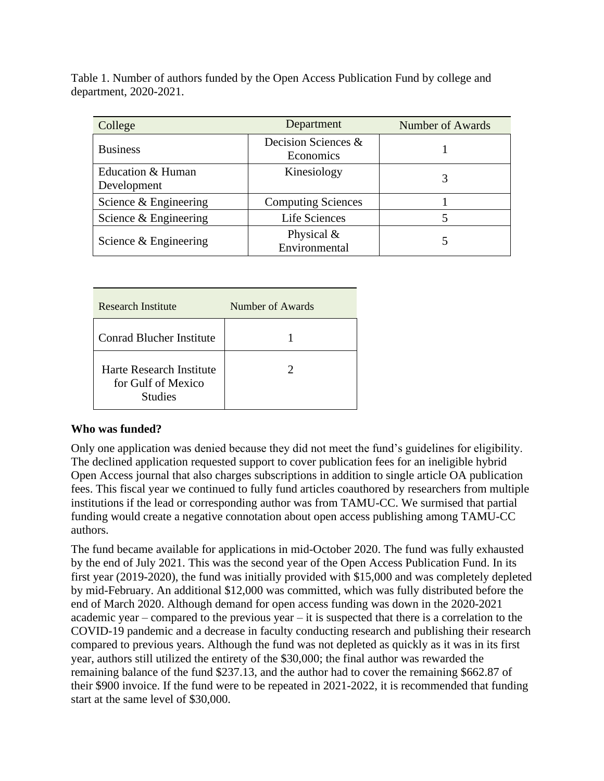Table 1. Number of authors funded by the Open Access Publication Fund by college and department, 2020-2021.

| College                          | Department                       | <b>Number of Awards</b> |
|----------------------------------|----------------------------------|-------------------------|
| <b>Business</b>                  | Decision Sciences &<br>Economics |                         |
| Education & Human<br>Development | Kinesiology                      |                         |
| Science & Engineering            | <b>Computing Sciences</b>        |                         |
| Science & Engineering            | Life Sciences                    |                         |
| Science & Engineering            | Physical $&$<br>Environmental    |                         |

| <b>Research Institute</b>                                 | Number of Awards |
|-----------------------------------------------------------|------------------|
| <b>Conrad Blucher Institute</b>                           |                  |
| Harte Research Institute<br>for Gulf of Mexico<br>Studies |                  |

### **Who was funded?**

Only one application was denied because they did not meet the fund's guidelines for eligibility. The declined application requested support to cover publication fees for an ineligible hybrid Open Access journal that also charges subscriptions in addition to single article OA publication fees. This fiscal year we continued to fully fund articles coauthored by researchers from multiple institutions if the lead or corresponding author was from TAMU-CC. We surmised that partial funding would create a negative connotation about open access publishing among TAMU-CC authors.

The fund became available for applications in mid-October 2020. The fund was fully exhausted by the end of July 2021. This was the second year of the Open Access Publication Fund. In its first year (2019-2020), the fund was initially provided with \$15,000 and was completely depleted by mid-February. An additional \$12,000 was committed, which was fully distributed before the end of March 2020. Although demand for open access funding was down in the 2020-2021 academic year – compared to the previous year – it is suspected that there is a correlation to the COVID-19 pandemic and a decrease in faculty conducting research and publishing their research compared to previous years. Although the fund was not depleted as quickly as it was in its first year, authors still utilized the entirety of the \$30,000; the final author was rewarded the remaining balance of the fund \$237.13, and the author had to cover the remaining \$662.87 of their \$900 invoice. If the fund were to be repeated in 2021-2022, it is recommended that funding start at the same level of \$30,000.